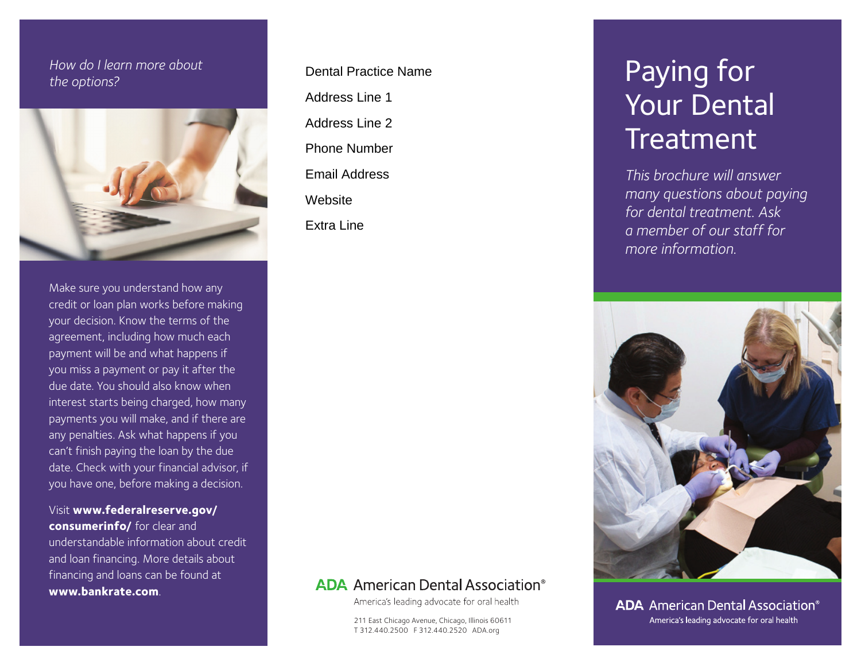## *How do I learn more about the options?*



Make sure you understand how any credit or loan plan works before making your decision. Know the terms of the agreement, including how much each payment will be and what happens if you miss a payment or pay it after the due date. You should also know when interest starts being charged, how many payments you will make, and if there are any penalties. Ask what happens if you can't finish paying the loan by the due date. Check with your financial advisor, if you have one, before making a decision.

Visit **www.federalreserve.gov/ consumerinfo/** for clear and understandable information about credit and loan financing. More details about financing and loans can be found at **www.bankrate.com**.

Dental Practice Name Address Line 1 Address Line 2 Phone Number Email Address **Website** Extra Line

# **ADA** American Dental Association<sup>®</sup>

America's leading advocate for oral health

211 East Chicago Avenue, Chicago, Illinois 60611 T 312.440.2500 F 312.440.2520 ADA.org

# Paying for Your Dental Treatment

*This brochure will answer many questions about paying for dental treatment. Ask a member of our staff for more information.* 



**ADA** American Dental Association<sup>®</sup> America's leading advocate for oral health